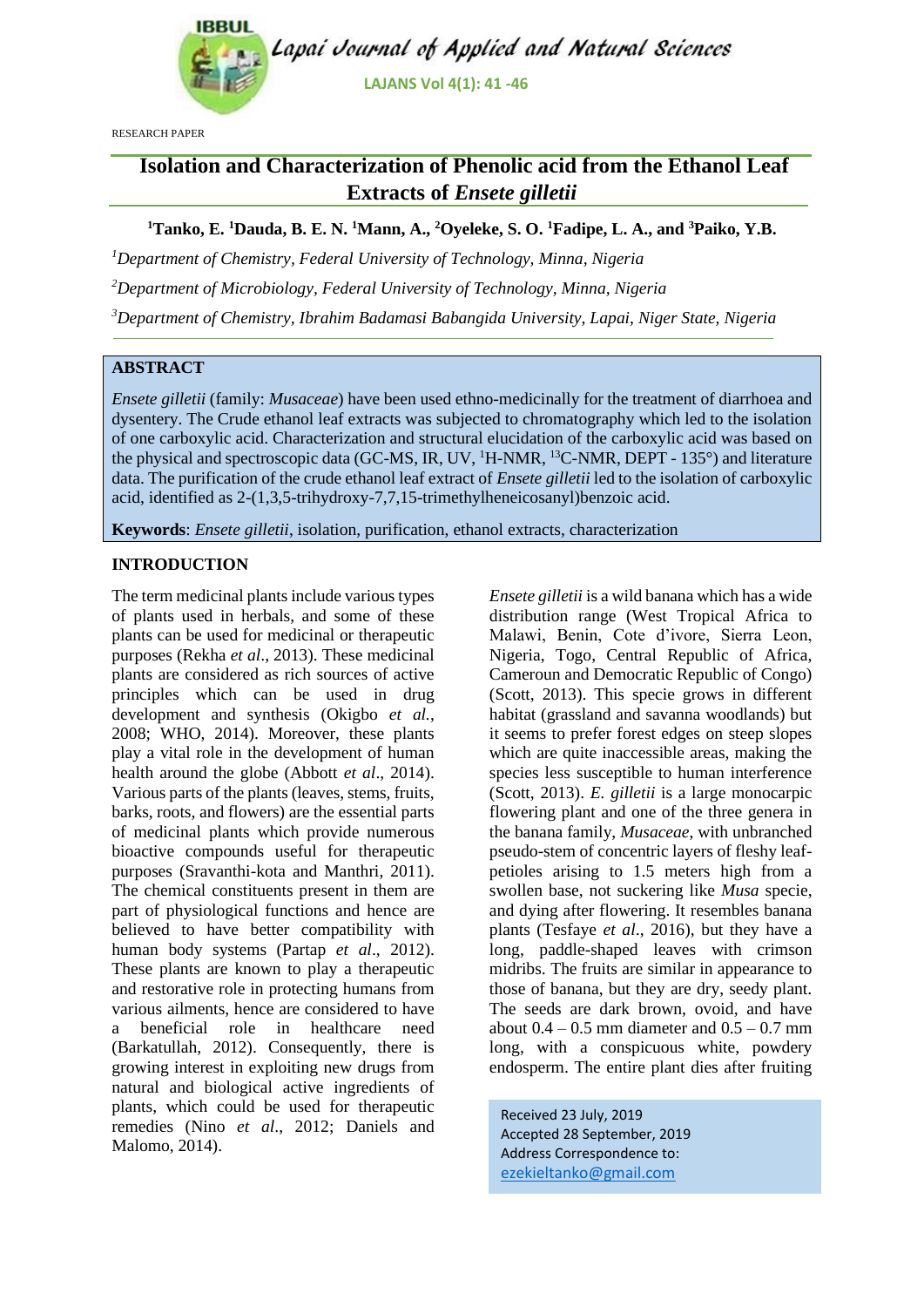

RESEARCH PAPER

# **Isolation and Characterization of Phenolic acid from the Ethanol Leaf Extracts of** *Ensete gilletii*

**<sup>1</sup>Tanko, E. <sup>1</sup>Dauda, B. E. N. <sup>1</sup>Mann, A., <sup>2</sup>Oyeleke, S. O. <sup>1</sup>Fadipe, L. A., and <sup>3</sup>Paiko, Y.B.**

*<sup>1</sup>Department of Chemistry, Federal University of Technology, Minna, Nigeria*

*<sup>2</sup>Department of Microbiology, Federal University of Technology, Minna, Nigeria*

*<sup>3</sup>Department of Chemistry, Ibrahim Badamasi Babangida University, Lapai, Niger State, Nigeria*

# **ABSTRACT**

*Ensete gilletii* (family: *Musaceae*) have been used ethno-medicinally for the treatment of diarrhoea and dysentery. The Crude ethanol leaf extracts was subjected to chromatography which led to the isolation of one carboxylic acid. Characterization and structural elucidation of the carboxylic acid was based on the physical and spectroscopic data (GC-MS, IR, UV, <sup>1</sup>H-NMR, <sup>13</sup>C-NMR, DEPT - 135°) and literature data. The purification of the crude ethanol leaf extract of *Ensete gilletii* led to the isolation of carboxylic acid, identified as 2-(1,3,5-trihydroxy-7,7,15-trimethylheneicosanyl)benzoic acid.

**Keywords**: *Ensete gilletii*, isolation, purification, ethanol extracts, characterization

# **INTRODUCTION**

The term medicinal plants include various types of plants used in herbals, and some of these plants can be used for medicinal or therapeutic purposes (Rekha *et al*., 2013). These medicinal plants are considered as rich sources of active principles which can be used in drug development and synthesis (Okigbo *et al.*, 2008; WHO, 2014). Moreover, these plants play a vital role in the development of human health around the globe (Abbott *et al*., 2014). Various parts of the plants (leaves, stems, fruits, barks, roots, and flowers) are the essential parts of medicinal plants which provide numerous bioactive compounds useful for therapeutic purposes (Sravanthi-kota and Manthri, 2011). The chemical constituents present in them are part of physiological functions and hence are believed to have better compatibility with human body systems (Partap *et al*., 2012). These plants are known to play a therapeutic and restorative role in protecting humans from various ailments, hence are considered to have a beneficial role in healthcare need (Barkatullah, 2012). Consequently, there is growing interest in exploiting new drugs from natural and biological active ingredients of plants, which could be used for therapeutic remedies (Nino *et al*., 2012; Daniels and Malomo, 2014).

*Ensete gilletii* is a wild banana which has a wide distribution range (West Tropical Africa to Malawi, Benin, Cote d'ivore, Sierra Leon, Nigeria, Togo, Central Republic of Africa, Cameroun and Democratic Republic of Congo) (Scott, 2013). This specie grows in different habitat (grassland and savanna woodlands) but it seems to prefer forest edges on steep slopes which are quite inaccessible areas, making the species less susceptible to human interference (Scott, 2013). *E. gilletii* is a large monocarpic flowering plant and one of the three genera in the banana family, *Musaceae*, with unbranched pseudo-stem of concentric layers of fleshy leafpetioles arising to 1.5 meters high from a swollen base, not suckering like *Musa* specie, and dying after flowering. It resembles banana plants (Tesfaye *et al*., 2016), but they have a long, paddle-shaped leaves with crimson midribs. The fruits are similar in appearance to those of banana, but they are dry, seedy plant. The seeds are dark brown, ovoid, and have about  $0.4 - 0.5$  mm diameter and  $0.5 - 0.7$  mm long, with a conspicuous white, powdery endosperm. The entire plant dies after fruiting

Received 23 July, 2019 Accepted 28 September, 2019 Address Correspondence to: [ezekieltanko@gmail.com](mailto:ezekieltanko@gmail.com)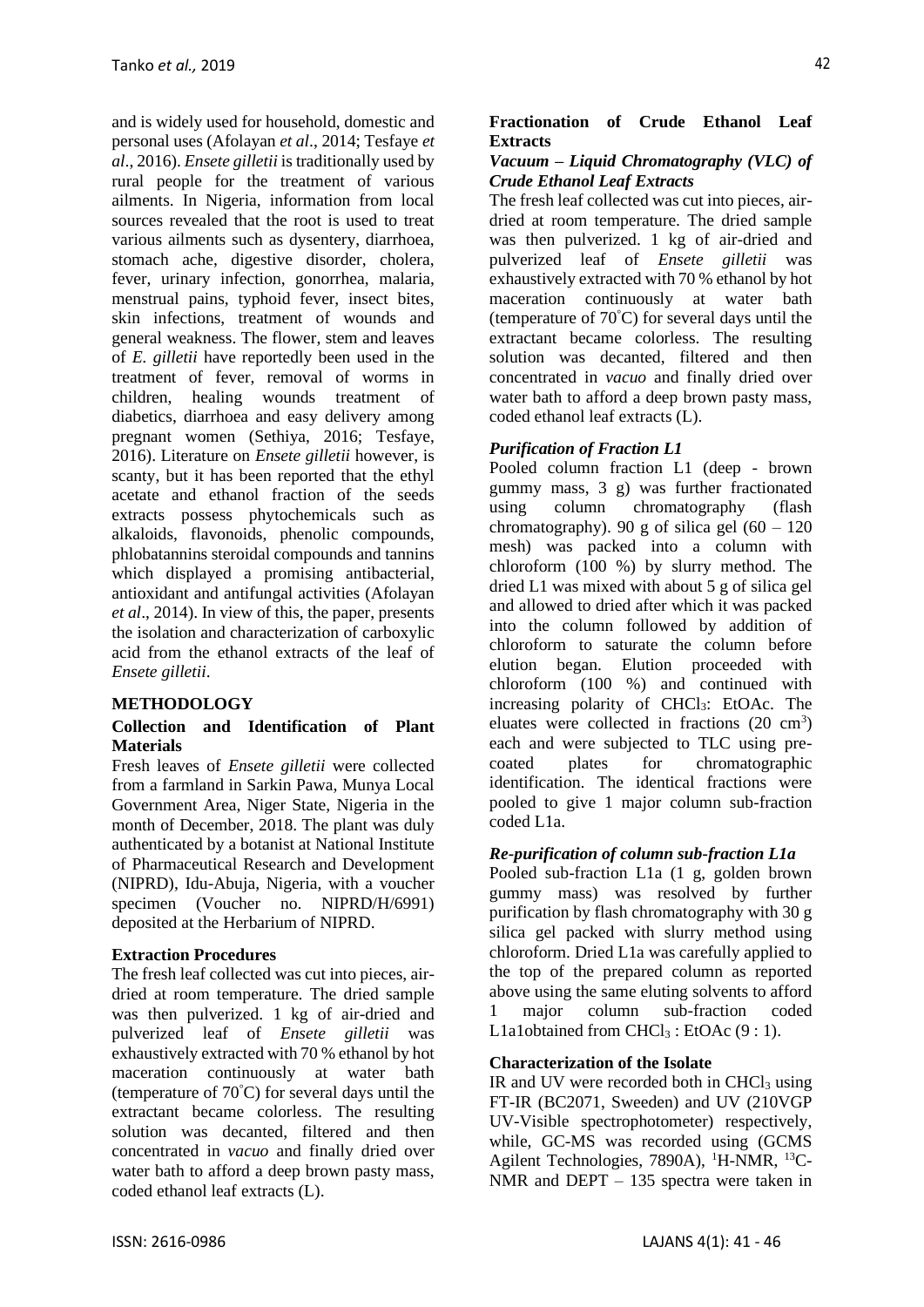and is widely used for household, domestic and personal uses (Afolayan *et al*., 2014; Tesfaye *et al*., 2016). *Ensete gilletii* is traditionally used by rural people for the treatment of various ailments. In Nigeria, information from local sources revealed that the root is used to treat various ailments such as dysentery, diarrhoea, stomach ache, digestive disorder, cholera, fever, urinary infection, gonorrhea, malaria, menstrual pains, typhoid fever, insect bites, skin infections, treatment of wounds and general weakness. The flower, stem and leaves of *E. gilletii* have reportedly been used in the treatment of fever, removal of worms in children, healing wounds treatment of diabetics, diarrhoea and easy delivery among pregnant women (Sethiya, 2016; Tesfaye, 2016). Literature on *Ensete gilletii* however, is scanty, but it has been reported that the ethyl acetate and ethanol fraction of the seeds extracts possess phytochemicals such as alkaloids, flavonoids, phenolic compounds, phlobatannins steroidal compounds and tannins which displayed a promising antibacterial, antioxidant and antifungal activities (Afolayan *et al*., 2014). In view of this, the paper, presents the isolation and characterization of carboxylic acid from the ethanol extracts of the leaf of *Ensete gilletii*.

## **METHODOLOGY**

#### **Collection and Identification of Plant Materials**

Fresh leaves of *Ensete gilletii* were collected from a farmland in Sarkin Pawa, Munya Local Government Area, Niger State, Nigeria in the month of December, 2018. The plant was duly authenticated by a botanist at National Institute of Pharmaceutical Research and Development (NIPRD), Idu-Abuja, Nigeria, with a voucher specimen (Voucher no. NIPRD/H/6991) deposited at the Herbarium of NIPRD.

#### **Extraction Procedures**

The fresh leaf collected was cut into pieces, airdried at room temperature. The dried sample was then pulverized. 1 kg of air-dried and pulverized leaf of *Ensete gilletii* was exhaustively extracted with 70 % ethanol by hot maceration continuously at water bath (temperature of 70°C) for several days until the extractant became colorless. The resulting solution was decanted, filtered and then concentrated in *vacuo* and finally dried over water bath to afford a deep brown pasty mass, coded ethanol leaf extracts (L).

### **Fractionation of Crude Ethanol Leaf Extracts**

#### *Vacuum – Liquid Chromatography (VLC) of Crude Ethanol Leaf Extracts*

The fresh leaf collected was cut into pieces, airdried at room temperature. The dried sample was then pulverized. 1 kg of air-dried and pulverized leaf of *Ensete gilletii* was exhaustively extracted with 70 % ethanol by hot maceration continuously at water bath (temperature of  $70^{\circ}$ C) for several days until the extractant became colorless. The resulting solution was decanted, filtered and then concentrated in *vacuo* and finally dried over water bath to afford a deep brown pasty mass, coded ethanol leaf extracts (L).

### *Purification of Fraction L1*

Pooled column fraction L1 (deep - brown gummy mass, 3 g) was further fractionated using column chromatography (flash chromatography). 90 g of silica gel  $(60 - 120)$ mesh) was packed into a column with chloroform (100 %) by slurry method. The dried L1 was mixed with about 5 g of silica gel and allowed to dried after which it was packed into the column followed by addition of chloroform to saturate the column before elution began. Elution proceeded with chloroform (100 %) and continued with increasing polarity of CHCl3: EtOAc. The eluates were collected in fractions  $(20 \text{ cm}^3)$ each and were subjected to TLC using precoated plates for chromatographic identification. The identical fractions were pooled to give 1 major column sub-fraction coded L1a.

#### *Re-purification of column sub-fraction L1a*

Pooled sub-fraction L1a (1 g, golden brown gummy mass) was resolved by further purification by flash chromatography with 30 g silica gel packed with slurry method using chloroform. Dried L1a was carefully applied to the top of the prepared column as reported above using the same eluting solvents to afford 1 major column sub-fraction coded L1a1obtained from CHCl<sub>3</sub> : EtOAc  $(9:1)$ .

#### **Characterization of the Isolate**

IR and UV were recorded both in  $CHCl<sub>3</sub>$  using FT-IR (BC2071, Sweeden) and UV (210VGP UV-Visible spectrophotometer) respectively, while, GC-MS was recorded using (GCMS Agilent Technologies, 7890A),  ${}^{1}$ H-NMR,  ${}^{13}$ C-NMR and DEPT – 135 spectra were taken in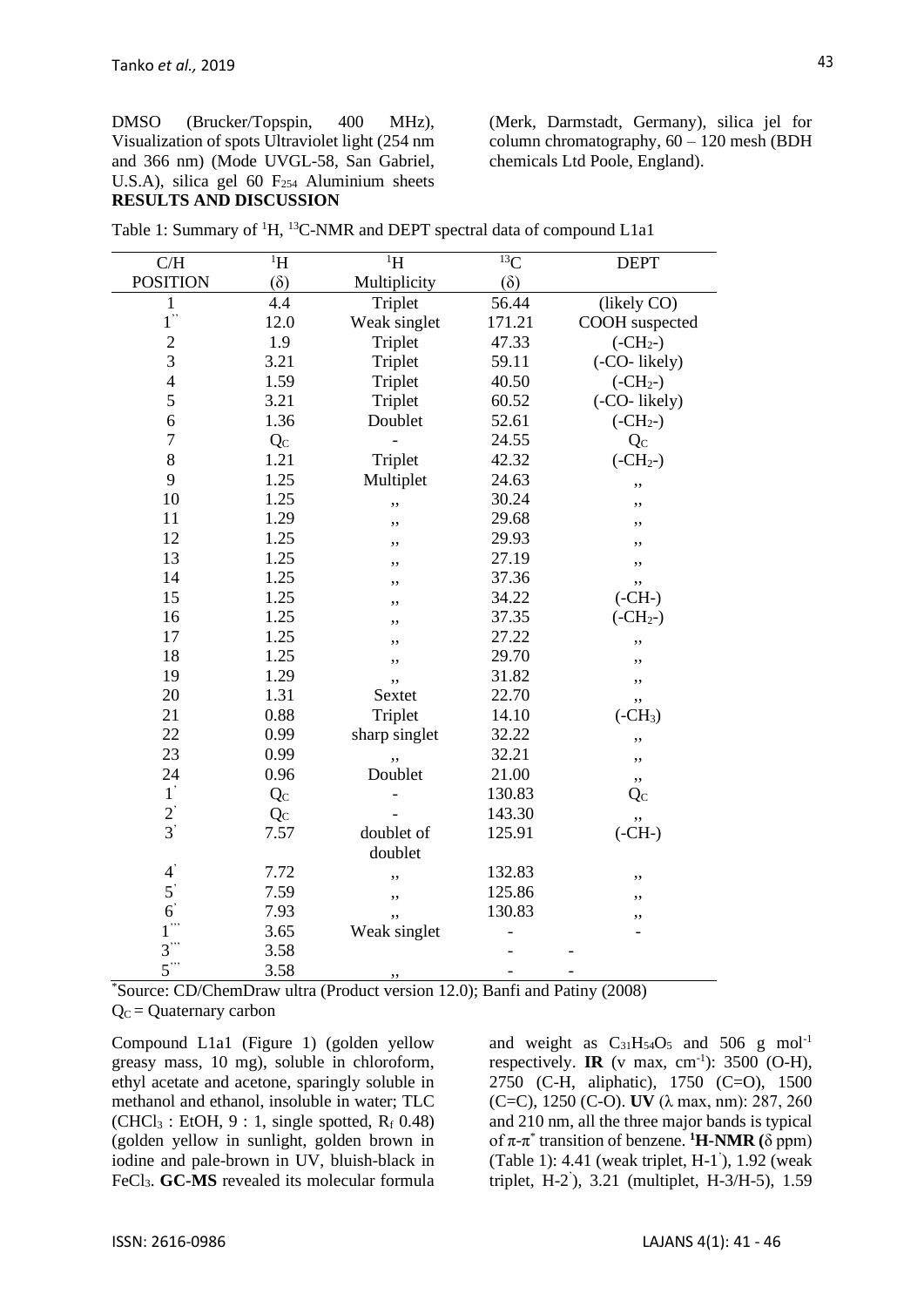DMSO (Brucker/Topspin, 400 MHz), Visualization of spots Ultraviolet light (254 nm and 366 nm) (Mode UVGL-58, San Gabriel, U.S.A), silica gel 60  $F<sub>254</sub>$  Aluminium sheets **RESULTS AND DISCUSSION**

(Merk, Darmstadt, Germany), silica jel for column chromatography, 60 – 120 mesh (BDH chemicals Ltd Poole, England).

| Table 1: Summary of <sup>1</sup> H, <sup>13</sup> C-NMR and DEPT spectral data of compound L1a1 |  |  |  |  |
|-------------------------------------------------------------------------------------------------|--|--|--|--|
|                                                                                                 |  |  |  |  |

| $\rm C/H$        | $\overline{H}$ | $\overline{H}$ | ${}^{13}C$ | <b>DEPT</b>    |
|------------------|----------------|----------------|------------|----------------|
| <b>POSITION</b>  | $(\delta)$     | Multiplicity   | $(\delta)$ |                |
| $\mathbf{1}$     | 4.4            | Triplet        | 56.44      | (likely CO)    |
| $1$ "            | 12.0           | Weak singlet   | 171.21     | COOH suspected |
| $\overline{c}$   | 1.9            | Triplet        | 47.33      | $(-CH2-)$      |
| $\overline{3}$   | 3.21           | Triplet        | 59.11      | (-CO-likely)   |
| $\overline{4}$   | 1.59           | Triplet        | 40.50      | $(-CH2-)$      |
| 5                | 3.21           | Triplet        | 60.52      | (-CO-likely)   |
| 6                | 1.36           | Doublet        | 52.61      | $(-CH2-)$      |
| $\overline{7}$   | Qc             |                | 24.55      | Qc             |
| 8                | 1.21           | Triplet        | 42.32      | $(-CH2-)$      |
| 9                | 1.25           | Multiplet      | 24.63      | ,,             |
| 10               | 1.25           | ,,             | 30.24      | ,,             |
| 11               | 1.29           | ,,             | 29.68      | ,,             |
| 12               | 1.25           | ,,             | 29.93      | ,,             |
| 13               | 1.25           | ,,             | 27.19      | ,,             |
| 14               | 1.25           | ,,             | 37.36      | ,,             |
| 15               | 1.25           | ,,             | 34.22      | $(-CH-)$       |
| 16               | 1.25           | ,,             | 37.35      | $(-CH2-)$      |
| 17               | 1.25           | ٠,             | 27.22      | ,,             |
| 18               | 1.25           | ٠,             | 29.70      | ,,             |
| 19               | 1.29           | ,,             | 31.82      | ,,             |
| 20               | 1.31           | Sextet         | 22.70      | ,,             |
| 21               | 0.88           | Triplet        | 14.10      | $(-CH3)$       |
| 22               | 0.99           | sharp singlet  | 32.22      | ,,             |
| 23               | 0.99           |                | 32.21      | ,,             |
| 24               | 0.96           | Doublet        | 21.00      | ,,             |
| $1^"$            | Qc             |                | 130.83     | $Q_{C}$        |
| $\frac{2}{3}$    | $Q_C$          |                | 143.30     | ,,             |
|                  | 7.57           | doublet of     | 125.91     | $(-CH-)$       |
|                  |                | doublet        |            |                |
| $\boldsymbol{4}$ | 7.72           | ,,             | 132.83     | ,,             |
| $5^{\degree}$    | 7.59           | ,,             | 125.86     | ,,             |
| $6^{\degree}$    | 7.93           |                | 130.83     | ,,             |
| $1$ "            | 3.65           | Weak singlet   |            |                |
| $3$ "            | 3.58           |                |            |                |
| $5$ "            | 3.58           | ,,             |            |                |

\*Source: CD/ChemDraw ultra (Product version 12.0); Banfi and Patiny (2008)

 $Q<sub>C</sub> =$  Quaternary carbon

Compound L1a1 (Figure 1) (golden yellow greasy mass, 10 mg), soluble in chloroform, ethyl acetate and acetone, sparingly soluble in methanol and ethanol, insoluble in water; TLC  $(CHCl<sub>3</sub>: EtOH, 9:1, single spotted, R<sub>f</sub> 0.48)$ (golden yellow in sunlight, golden brown in iodine and pale-brown in UV, bluish-black in FeCl3. **GC-MS** revealed its molecular formula and weight as  $C_{31}H_{54}O_5$  and 506 g mol<sup>-1</sup> respectively. **IR** (v max, cm<sup>-1</sup>): 3500 (O-H), 2750 (C-H, aliphatic), 1750 (C=O), 1500 (C=C), 1250 (C-O). **UV** (λ max, nm): 287, 260 and 210 nm, all the three major bands is typical of π-π \* transition of benzene. **<sup>1</sup>H-NMR (**δ ppm) (Table 1): 4.41 (weak triplet, H-1 ' ), 1.92 (weak triplet, H-2 ' ), 3.21 (multiplet, H-3/H-5), 1.59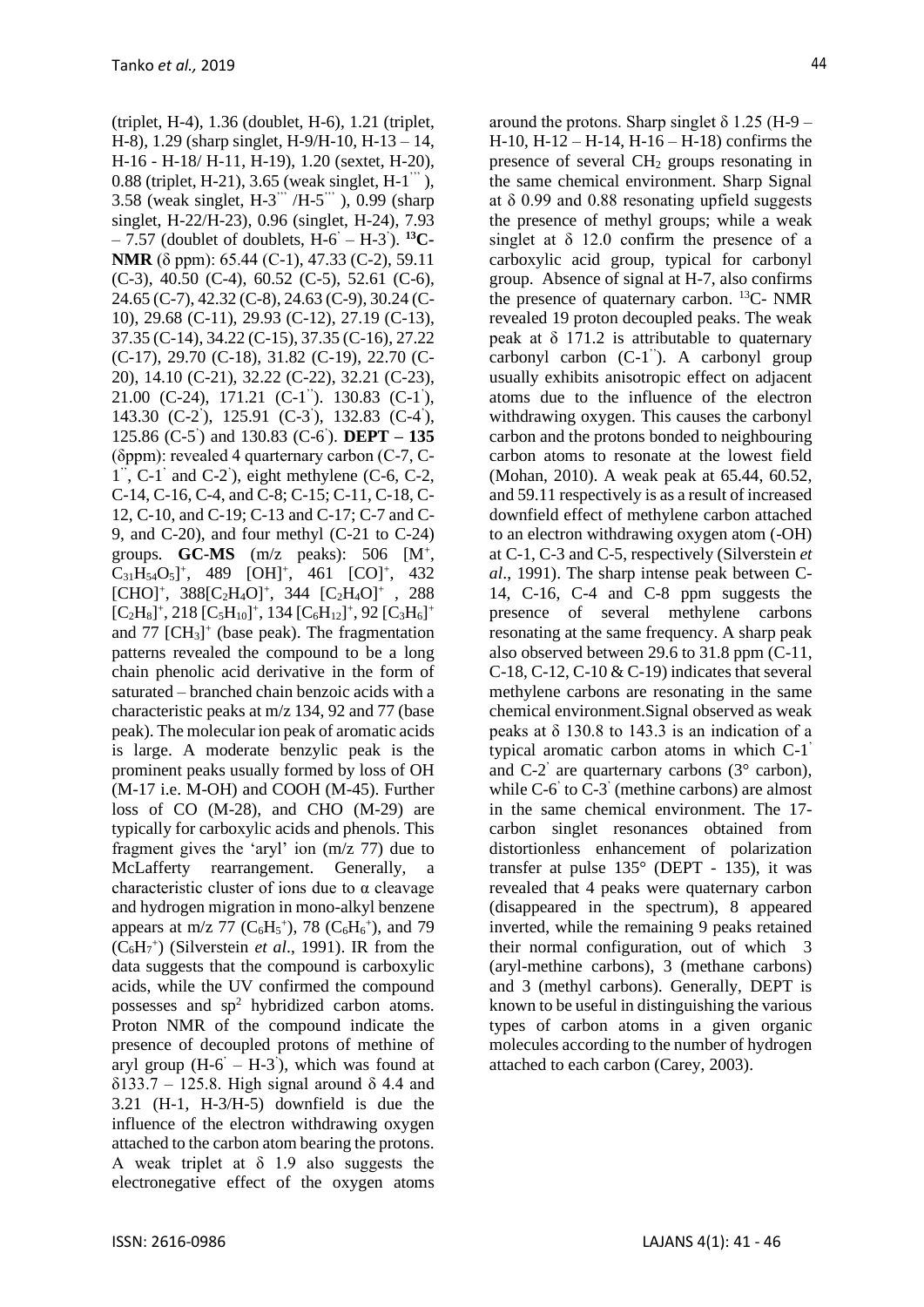(triplet, H-4), 1.36 (doublet, H-6), 1.21 (triplet, H-8), 1.29 (sharp singlet, H-9/H-10, H-13 – 14, H-16 - H-18/ H-11, H-19), 1.20 (sextet, H-20), 0.88 (triplet, H-21), 3.65 (weak singlet, H-1 ''' ), 3.58 (weak singlet, H-3" /H-5"'), 0.99 (sharp singlet, H-22/H-23), 0.96 (singlet, H-24), 7.93 - 7.57 (doublet of doublets, H-6<sup>'</sup> - H-3<sup>'</sup>). <sup>13</sup>**C**-**NMR** (δ ppm): 65.44 (C-1), 47.33 (C-2), 59.11 (C-3), 40.50 (C-4), 60.52 (C-5), 52.61 (C-6), 24.65 (C-7), 42.32 (C-8), 24.63 (C-9), 30.24 (C-10), 29.68 (C-11), 29.93 (C-12), 27.19 (C-13), 37.35 (C-14), 34.22 (C-15), 37.35 (C-16), 27.22 (C-17), 29.70 (C-18), 31.82 (C-19), 22.70 (C-20), 14.10 (C-21), 32.22 (C-22), 32.21 (C-23), 21.00 (C-24), 171.21 (C-1<sup>"</sup>). 130.83 (C-1<sup>'</sup>), 143.30 (C-2), 125.91 (C-3), 132.83 (C-4), 125.86 (C-5 ' ) and 130.83 (C-6 ' ). **DEPT – 135**  (δppm): revealed 4 quarternary carbon (C-7, C- $1^{\degree}$ , C-1<sup>'</sup> and C-2<sup>'</sup>), eight methylene (C-6, C-2, C-14, C-16, C-4, and C-8; C-15; C-11, C-18, C-12, C-10, and C-19; C-13 and C-17; C-7 and C-9, and C-20), and four methyl (C-21 to C-24) groups. **GC-MS**  $(m/z \text{ peaks})$ : 506  $[M^+,$  $C_{31}H_{54}O_5$ <sup>+</sup>, 489 [OH]<sup>+</sup>, 461 [CO]<sup>+</sup>, 432  $[CHO]^+, 388 [C_2H_4O]^+, 344 [C_2H_4O]^+$ , 288  $[C_2H_8]^+, 218 [C_5H_{10}]^+, 134 [C_6H_{12}]^+, 92 [C_3H_6]^+$ and  $77$   $[CH<sub>3</sub>]<sup>+</sup>$  (base peak). The fragmentation patterns revealed the compound to be a long chain phenolic acid derivative in the form of saturated – branched chain benzoic acids with a characteristic peaks at m/z 134, 92 and 77 (base peak). The molecular ion peak of aromatic acids is large. A moderate benzylic peak is the prominent peaks usually formed by loss of OH (M-17 i.e. M-OH) and COOH (M-45). Further loss of CO (M-28), and CHO (M-29) are typically for carboxylic acids and phenols. This fragment gives the 'aryl' ion (m/z 77) due to McLafferty rearrangement. Generally, a characteristic cluster of ions due to  $\alpha$  cleavage and hydrogen migration in mono-alkyl benzene appears at m/z 77 ( $C_6H_5^+$ ), 78 ( $C_6H_6^+$ ), and 79  $(C_6H<sub>7</sub><sup>+</sup>)$  (Silverstein *et al.*, 1991). IR from the data suggests that the compound is carboxylic acids, while the UV confirmed the compound possesses and  $sp<sup>2</sup>$  hybridized carbon atoms. Proton NMR of the compound indicate the presence of decoupled protons of methine of aryl group  $(H-6 - H-3)$ , which was found at δ133.7 – 125.8. High signal around δ 4.4 and 3.21 (H-1, H-3/H-5) downfield is due the influence of the electron withdrawing oxygen attached to the carbon atom bearing the protons. A weak triplet at  $\delta$  1.9 also suggests the electronegative effect of the oxygen atoms

around the protons. Sharp singlet  $\delta$  1.25 (H-9 – H-10, H-12 – H-14, H-16 – H-18) confirms the presence of several CH<sup>2</sup> groups resonating in the same chemical environment. Sharp Signal at  $\delta$  0.99 and 0.88 resonating upfield suggests the presence of methyl groups; while a weak singlet at  $\delta$  12.0 confirm the presence of a carboxylic acid group, typical for carbonyl group. Absence of signal at H-7, also confirms the presence of quaternary carbon. <sup>13</sup>C- NMR revealed 19 proton decoupled peaks. The weak peak at  $\delta$  171.2 is attributable to quaternary carbonyl carbon (C-1"). A carbonyl group usually exhibits anisotropic effect on adjacent atoms due to the influence of the electron withdrawing oxygen. This causes the carbonyl carbon and the protons bonded to neighbouring carbon atoms to resonate at the lowest field (Mohan, 2010). A weak peak at 65.44, 60.52, and 59.11 respectively is as a result of increased downfield effect of methylene carbon attached to an electron withdrawing oxygen atom (-OH) at C-1, C-3 and C-5, respectively (Silverstein *et al*., 1991). The sharp intense peak between C-14, C-16, C-4 and C-8 ppm suggests the presence of several methylene carbons resonating at the same frequency. A sharp peak also observed between 29.6 to 31.8 ppm (C-11, C-18, C-12, C-10  $&$  C-19) indicates that several methylene carbons are resonating in the same chemical environment.Signal observed as weak peaks at  $\delta$  130.8 to 143.3 is an indication of a typical aromatic carbon atoms in which C-1 ' and C-2 ' are quarternary carbons (3° carbon), while C-6<sup>'</sup> to C-3<sup>'</sup> (methine carbons) are almost in the same chemical environment. The 17 carbon singlet resonances obtained from distortionless enhancement of polarization transfer at pulse  $135^{\circ}$  (DEPT - 135), it was revealed that 4 peaks were quaternary carbon (disappeared in the spectrum), 8 appeared inverted, while the remaining 9 peaks retained their normal configuration, out of which 3 (aryl-methine carbons), 3 (methane carbons) and 3 (methyl carbons). Generally, DEPT is known to be useful in distinguishing the various types of carbon atoms in a given organic molecules according to the number of hydrogen attached to each carbon (Carey, 2003).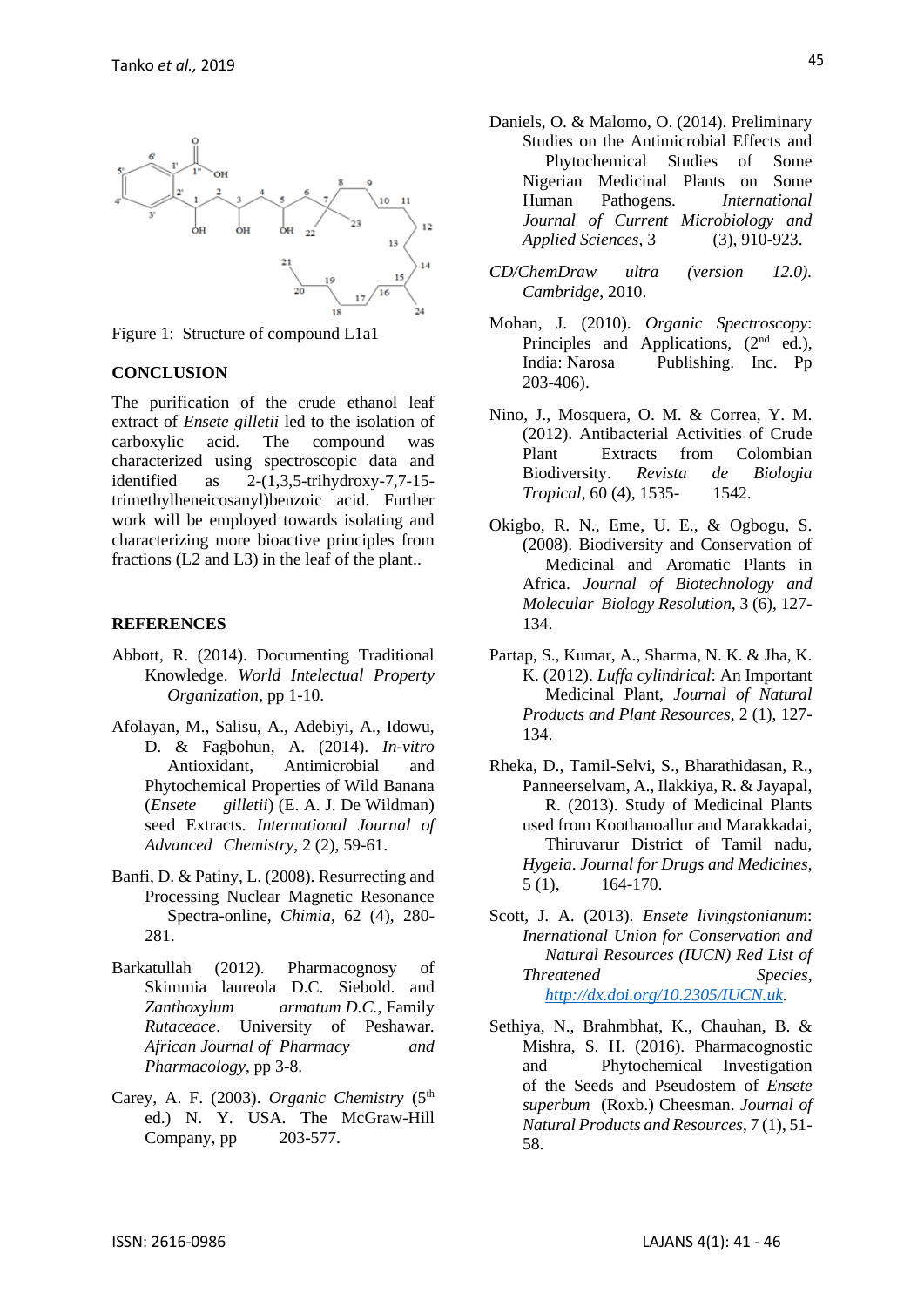

Figure 1: Structure of compound L1a1

#### **CONCLUSION**

The purification of the crude ethanol leaf extract of *Ensete gilletii* led to the isolation of carboxylic acid. The compound was characterized using spectroscopic data and identified as  $2-(1,3,5-*trihy* d**rowy-7,7-15**$ trimethylheneicosanyl)benzoic acid. Further work will be employed towards isolating and characterizing more bioactive principles from fractions (L2 and L3) in the leaf of the plant..

#### **REFERENCES**

- Abbott, R. (2014). Documenting Traditional Knowledge. *World Intelectual Property Organization*, pp 1-10.
- Afolayan, M., Salisu, A., Adebiyi, A., Idowu, D. & Fagbohun, A. (2014). *In-vitro* Antioxidant, Antimicrobial and Phytochemical Properties of Wild Banana (*Ensete gilletii*) (E. A. J. De Wildman) seed Extracts. *International Journal of Advanced Chemistry*, 2 (2), 59-61.
- Banfi, D. & Patiny, L. (2008). Resurrecting and Processing Nuclear Magnetic Resonance Spectra-online, *Chimia*, 62 (4), 280- 281.
- Barkatullah (2012). Pharmacognosy of Skimmia laureola D.C. Siebold. and *Zanthoxylum armatum D.C.*, Family *Rutaceace*. University of Peshawar. *African Journal of Pharmacy and Pharmacology*, pp 3-8.
- Carey, A. F. (2003). *Organic Chemistry* (5<sup>th</sup>) ed.) N. Y. USA. The McGraw-Hill Company, pp 203-577.
- Daniels, O. & Malomo, O. (2014). Preliminary Studies on the Antimicrobial Effects and Phytochemical Studies of Some Nigerian Medicinal Plants on Some Human Pathogens. *International Journal of Current Microbiology and Applied Sciences*, 3 (3), 910-923.
- *CD/ChemDraw ultra (version 12.0). Cambridge*, 2010.
- Mohan, J. (2010). *Organic Spectroscopy*: Principles and Applications,  $(2<sup>nd</sup> ed.)$ , India: Narosa Publishing. Inc. Pp 203-406).
- Nino, J., Mosquera, O. M. & Correa, Y. M. (2012). Antibacterial Activities of Crude Plant Extracts from Colombian Biodiversity. *Revista de Biologia Tropical*, 60 (4), 1535- 1542.
- Okigbo, R. N., Eme, U. E., & Ogbogu, S. (2008). Biodiversity and Conservation of Medicinal and Aromatic Plants in Africa. *Journal of Biotechnology and Molecular Biology Resolution*, 3 (6), 127- 134.
- Partap, S., Kumar, A., Sharma, N. K. & Jha, K. K. (2012). *Luffa cylindrical*: An Important Medicinal Plant, *Journal of Natural Products and Plant Resources*, 2 (1), 127- 134.
- Rheka, D., Tamil-Selvi, S., Bharathidasan, R., Panneerselvam, A., Ilakkiya, R. & Jayapal, R. (2013). Study of Medicinal Plants used from Koothanoallur and Marakkadai, Thiruvarur District of Tamil nadu, *Hygeia*. *Journal for Drugs and Medicines*, 5 (1), 164-170.
- Scott, J. A. (2013). *Ensete livingstonianum*: *Inernational Union for Conservation and Natural Resources (IUCN) Red List of Threatened Species*, *[http://dx.doi.org/10.2305/IUCN.uk.](http://dx.doi.org/10.2305/IUCN.uk)*
- Sethiya, N., Brahmbhat, K., Chauhan, B. & Mishra, S. H. (2016). Pharmacognostic and Phytochemical Investigation of the Seeds and Pseudostem of *Ensete superbum* (Roxb.) Cheesman. *Journal of Natural Products and Resources*, 7 (1), 51- 58.